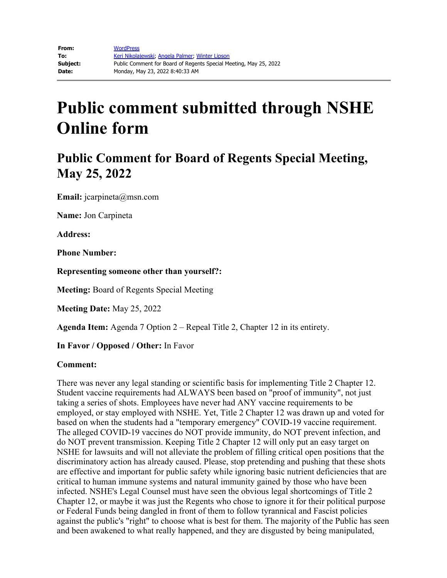# **Public comment submitted through NSHE Online form**

## **Public Comment for Board of Regents Special Meeting, May 25, 2022**

**Email:** jcarpineta@msn.com

**Name:** Jon Carpineta

**Address:**

**Phone Number:** 

**Representing someone other than yourself?:**

**Meeting:** Board of Regents Special Meeting

**Meeting Date:** May 25, 2022

**Agenda Item:** Agenda 7 Option 2 – Repeal Title 2, Chapter 12 in its entirety.

**In Favor / Opposed / Other:** In Favor

#### **Comment:**

There was never any legal standing or scientific basis for implementing Title 2 Chapter 12. Student vaccine requirements had ALWAYS been based on "proof of immunity", not just taking a series of shots. Employees have never had ANY vaccine requirements to be employed, or stay employed with NSHE. Yet, Title 2 Chapter 12 was drawn up and voted for based on when the students had a "temporary emergency" COVID-19 vaccine requirement. The alleged COVID-19 vaccines do NOT provide immunity, do NOT prevent infection, and do NOT prevent transmission. Keeping Title 2 Chapter 12 will only put an easy target on NSHE for lawsuits and will not alleviate the problem of filling critical open positions that the discriminatory action has already caused. Please, stop pretending and pushing that these shots are effective and important for public safety while ignoring basic nutrient deficiencies that are critical to human immune systems and natural immunity gained by those who have been infected. NSHE's Legal Counsel must have seen the obvious legal shortcomings of Title 2 Chapter 12, or maybe it was just the Regents who chose to ignore it for their political purpose or Federal Funds being dangled in front of them to follow tyrannical and Fascist policies against the public's "right" to choose what is best for them. The majority of the Public has seen and been awakened to what really happened, and they are disgusted by being manipulated,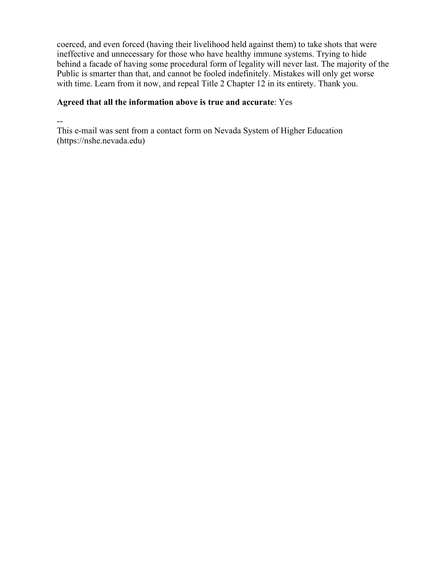coerced, and even forced (having their livelihood held against them) to take shots that were ineffective and unnecessary for those who have healthy immune systems. Trying to hide behind a facade of having some procedural form of legality will never last. The majority of the Public is smarter than that, and cannot be fooled indefinitely. Mistakes will only get worse with time. Learn from it now, and repeal Title 2 Chapter 12 in its entirety. Thank you.

#### **Agreed that all the information above is true and accurate**: Yes

--

This e-mail was sent from a contact form on Nevada System of Higher Education (https://nshe.nevada.edu)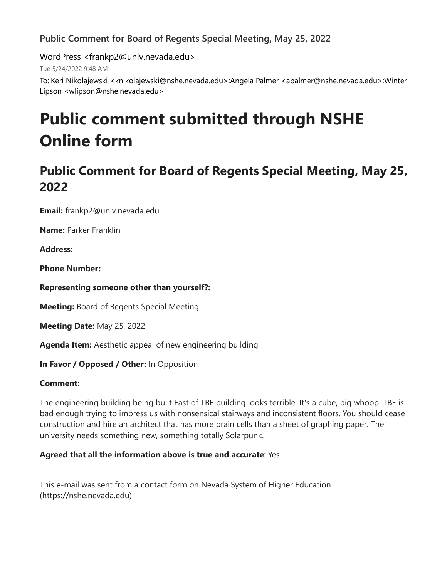## **Public Comment for Board of Regents Special Meeting, May 25, 2022**

WordPress <frankp2@unlv.nevada.edu>

Tue 5/24/2022 9:48 AM

To: Keri Nikolajewski <knikolajewski@nshe.nevada.edu>;Angela Palmer <apalmer@nshe.nevada.edu>;Winter Lipson <wlipson@nshe.nevada.edu>

# **Public comment submitted through NSHE Online form**

# **Public Comment for Board of Regents Special Meeting, May 25, 2022**

**Email:** frankp2@unlv.nevada.edu

**Name:** Parker Franklin

**Address:** 

**Phone Number:** 

**Representing someone other than yourself?:**

**Meeting:** Board of Regents Special Meeting

**Meeting Date:** May 25, 2022

**Agenda Item:** Aesthetic appeal of new engineering building

**In Favor / Opposed / Other:** In Opposition

### **Comment:**

The engineering building being built East of TBE building looks terrible. It's a cube, big whoop. TBE is bad enough trying to impress us with nonsensical stairways and inconsistent floors. You should cease construction and hire an architect that has more brain cells than a sheet of graphing paper. The university needs something new, something totally Solarpunk.

### **Agreed that all the information above is true and accurate**: Yes

-- This e-mail was sent from a contact form on Nevada System of Higher Education (https://nshe.nevada.edu)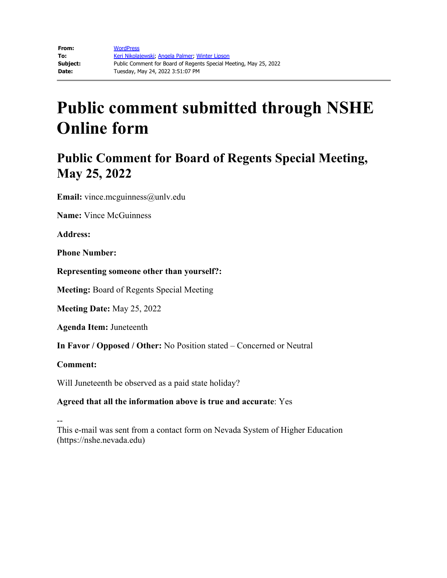# **Public comment submitted through NSHE Online form**

## **Public Comment for Board of Regents Special Meeting, May 25, 2022**

**Email:** vince.mcguinness@unlv.edu

**Name:** Vince McGuinness

**Address:**

**Phone Number:**

**Representing someone other than yourself?:**

**Meeting:** Board of Regents Special Meeting

**Meeting Date:** May 25, 2022

**Agenda Item:** Juneteenth

**In Favor / Opposed / Other:** No Position stated – Concerned or Neutral

**Comment:**

Will Juneteenth be observed as a paid state holiday?

#### **Agreed that all the information above is true and accurate**: Yes

-- This e-mail was sent from a contact form on Nevada System of Higher Education (https://nshe.nevada.edu)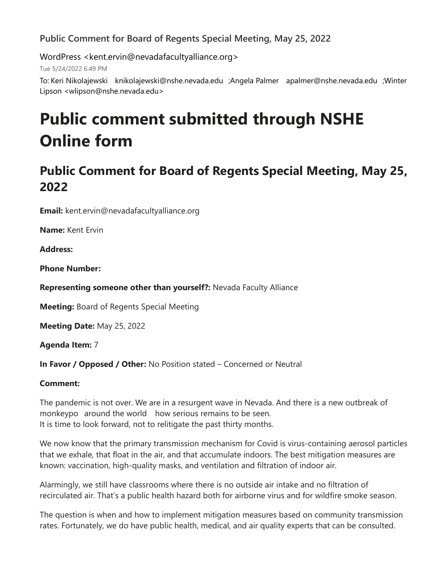### **Public Comment for Board of Regents Special Meeting, May 25, 2022**

WordPress <kent.ervin@nevadafacultyalliance.org>

Tue 5/24/2022 6:49 PM

To: Keri Nikolajewski knikolajewski@nshe.nevada.edu ;Angela Palmer apalmer@nshe.nevada.edu ;Winter Lipson <wlipson@nshe.nevada.edu>

# **Public comment submitted through NSHE Online form**

# **Public Comment for Board of Regents Special Meeting, May 25, 2022**

**Email:** kent.ervin@nevadafacultyalliance.org

**Name:** Kent Ervin

**Address:**

**Phone Number:** 

**Representing someone other than yourself?:** Nevada Faculty Alliance

**Meeting:** Board of Regents Special Meeting

**Meeting Date:** May 25, 2022

**Agenda Item:** 7

**In Favor / Opposed / Other:** No Position stated – Concerned or Neutral

### **Comment:**

The pandemic is not over. We are in a resurgent wave in Nevada. And there is a new outbreak of monkeypo around the world how serious remains to be seen. It is time to look forward, not to relitigate the past thirty months.

We now know that the primary transmission mechanism for Covid is virus-containing aerosol particles that we exhale, that float in the air, and that accumulate indoors. The best mitigation measures are known: vaccination, high-quality masks, and ventilation and filtration of indoor air.

Alarmingly, we still have classrooms where there is no outside air intake and no filtration of recirculated air. That's a public health hazard both for airborne virus and for wildfire smoke season.

The question is when and how to implement mitigation measures based on community transmission rates. Fortunately, we do have public health, medical, and air quality experts that can be consulted.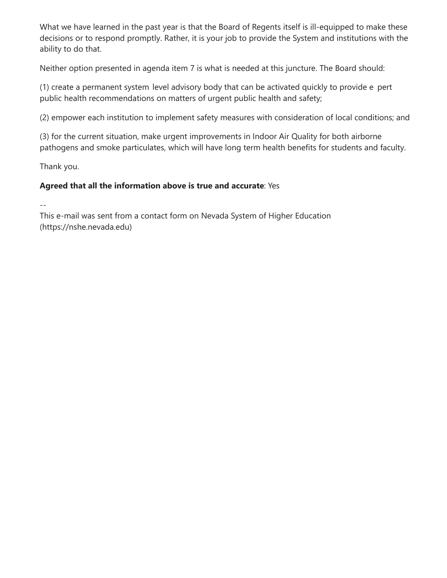What we have learned in the past year is that the Board of Regents itself is ill-equipped to make these decisions or to respond promptly. Rather, it is your job to provide the System and institutions with the ability to do that.

Neither option presented in agenda item 7 is what is needed at this juncture. The Board should:

(1) create a permanent system level advisory body that can be activated quickly to provide e pert public health recommendations on matters of urgent public health and safety;

(2) empower each institution to implement safety measures with consideration of local conditions; and

(3) for the current situation, make urgent improvements in Indoor Air Quality for both airborne pathogens and smoke particulates, which will have long term health benefits for students and faculty.

Thank you.

### **Agreed that all the information above is true and accurate**: Yes

--

This e-mail was sent from a contact form on Nevada System of Higher Education (https://nshe.nevada.edu)